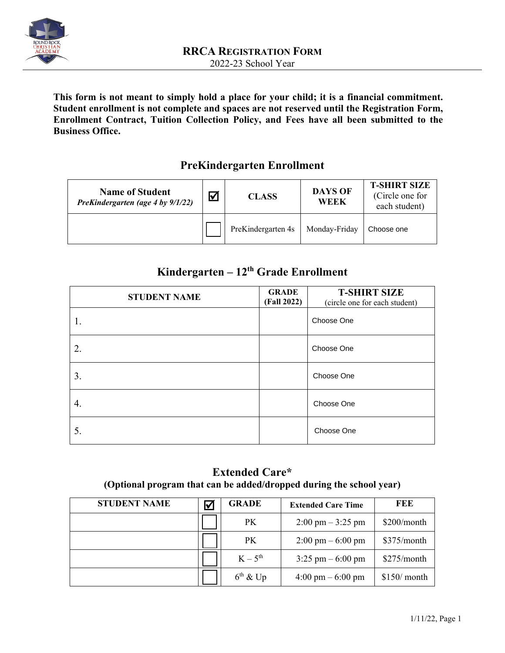

**This form is not meant to simply hold a place for your child; it is a financial commitment. Student enrollment is not complete and spaces are not reserved until the Registration Form, Enrollment Contract, Tuition Collection Policy, and Fees have all been submitted to the Business Office.** 

## **PreKindergarten Enrollment**

| <b>Name of Student</b><br>PreKindergarten (age 4 by 9/1/22) | $\bar{M}$ | <b>CLASS</b>       | <b>DAYS OF</b><br>WEEK | <b>T-SHIRT SIZE</b><br>(Circle one for<br>each student) |
|-------------------------------------------------------------|-----------|--------------------|------------------------|---------------------------------------------------------|
|                                                             |           | PreKindergarten 4s | Monday-Friday          | Choose one                                              |

# **Kindergarten – 12th Grade Enrollment**

| <b>STUDENT NAME</b> | <b>GRADE</b><br>(Fall 2022) | <b>T-SHIRT SIZE</b><br>(circle one for each student) |
|---------------------|-----------------------------|------------------------------------------------------|
|                     |                             | Choose One                                           |
| 2.                  |                             | Choose One                                           |
| 3.                  |                             | Choose One                                           |
| 4.                  |                             | Choose One                                           |
| 5.                  |                             | Choose One                                           |

## **Extended Care\* (Optional program that can be added/dropped during the school year)**

| <b>STUDENT NAME</b> | ∇ | <b>GRADE</b>  | <b>Extended Care Time</b>           | FEE           |
|---------------------|---|---------------|-------------------------------------|---------------|
|                     |   | PK.           | $2:00 \text{ pm} - 3:25 \text{ pm}$ | \$200/month   |
|                     |   | PK.           | $2:00 \text{ pm} - 6:00 \text{ pm}$ | \$375/month   |
|                     |   | $K-5^{th}$    | $3:25 \text{ pm} - 6:00 \text{ pm}$ | \$275/month   |
|                     |   | $6^{th}$ & Up | $4:00 \text{ pm} - 6:00 \text{ pm}$ | $$150/$ month |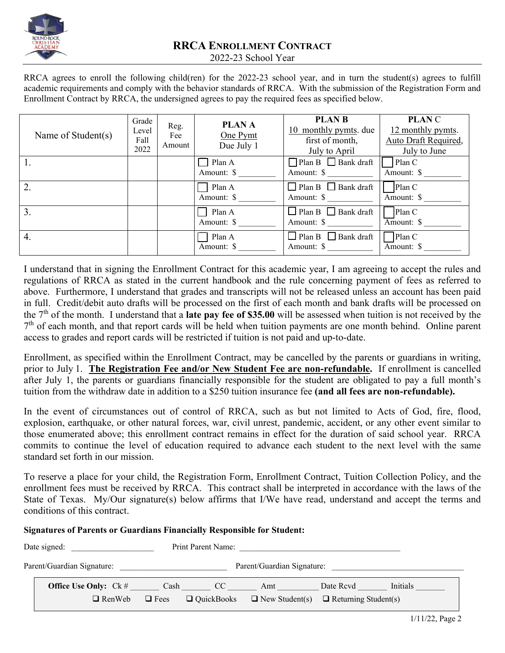

RRCA agrees to enroll the following child(ren) for the 2022-23 school year, and in turn the student(s) agrees to fulfill academic requirements and comply with the behavior standards of RRCA. With the submission of the Registration Form and Enrollment Contract by RRCA, the undersigned agrees to pay the required fees as specified below.

| Name of Student(s) | Grade<br>Level<br>Fall<br>2022 | Reg.<br>Fee<br>Amount | <b>PLANA</b><br>One Pymt<br>Due July 1 | <b>PLAN B</b><br>10 monthly pymts. due<br>first of month,<br>July to April | <b>PLANC</b><br>12 monthly pymts.<br>Auto Draft Required,<br>July to June |
|--------------------|--------------------------------|-----------------------|----------------------------------------|----------------------------------------------------------------------------|---------------------------------------------------------------------------|
|                    |                                |                       | $\Box$ Plan A<br>Amount: \$            | $\Box$ Plan B $\Box$ Bank draft<br>Amount: \$                              | Plan C<br>Amount: \$                                                      |
| 2.                 |                                |                       | Plan A<br>Amount: \$                   | $\Box$ Plan B $\Box$ Bank draft<br>Amount: \$                              | Plan C<br>Amount: \$                                                      |
| 3.                 |                                |                       | Plan A<br>Amount: \$                   | $\Box$ Plan B $\Box$ Bank draft<br>Amount: \$                              | Plan C<br>Amount: \$                                                      |
| 4.                 |                                |                       | Plan A<br>Amount: \$                   | $\Box$ Plan B<br>$\Box$ Bank draft<br>Amount: \$                           | Plan C<br>Amount: \$                                                      |

I understand that in signing the Enrollment Contract for this academic year, I am agreeing to accept the rules and regulations of RRCA as stated in the current handbook and the rule concerning payment of fees as referred to above. Furthermore, I understand that grades and transcripts will not be released unless an account has been paid in full. Credit/debit auto drafts will be processed on the first of each month and bank drafts will be processed on the 7th of the month. I understand that a **late pay fee of \$35.00** will be assessed when tuition is not received by the <sup>7th</sup> of each month, and that report cards will be held when tuition payments are one month behind. Online parent access to grades and report cards will be restricted if tuition is not paid and up-to-date.

Enrollment, as specified within the Enrollment Contract, may be cancelled by the parents or guardians in writing, prior to July 1. **The Registration Fee and/or New Student Fee are non-refundable.** If enrollment is cancelled after July 1, the parents or guardians financially responsible for the student are obligated to pay a full month's tuition from the withdraw date in addition to a \$250 tuition insurance fee **(and all fees are non-refundable).** 

In the event of circumstances out of control of RRCA, such as but not limited to Acts of God, fire, flood, explosion, earthquake, or other natural forces, war, civil unrest, pandemic, accident, or any other event similar to those enumerated above; this enrollment contract remains in effect for the duration of said school year. RRCA commits to continue the level of education required to advance each student to the next level with the same standard set forth in our mission.

To reserve a place for your child, the Registration Form, Enrollment Contract, Tuition Collection Policy, and the enrollment fees must be received by RRCA. This contract shall be interpreted in accordance with the laws of the State of Texas. My/Our signature(s) below affirms that I/We have read, understand and accept the terms and conditions of this contract.

**Signatures of Parents or Guardians Financially Responsible for Student:** 

| Date signed:<br>Print Parent Name: |                                 |             |                   |                            |                             |          |
|------------------------------------|---------------------------------|-------------|-------------------|----------------------------|-----------------------------|----------|
|                                    | Parent/Guardian Signature:      |             |                   | Parent/Guardian Signature: |                             |          |
|                                    | <b>Office Use Only:</b> $Ck \#$ | Cash        | CC                | Amt                        | Date Rcvd                   | Initials |
|                                    | $\Box$ RenWeb                   | $\Box$ Fees | $\Box$ QuickBooks | $\Box$ New Student(s)      | $\Box$ Returning Student(s) |          |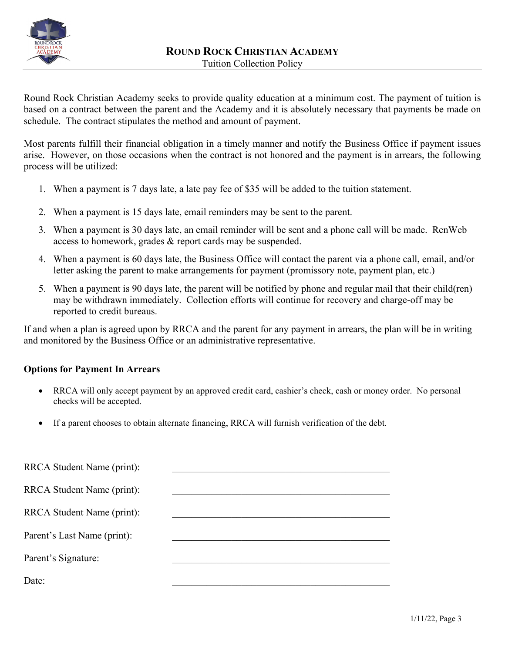

Round Rock Christian Academy seeks to provide quality education at a minimum cost. The payment of tuition is based on a contract between the parent and the Academy and it is absolutely necessary that payments be made on schedule. The contract stipulates the method and amount of payment.

Most parents fulfill their financial obligation in a timely manner and notify the Business Office if payment issues arise. However, on those occasions when the contract is not honored and the payment is in arrears, the following process will be utilized:

- 1. When a payment is 7 days late, a late pay fee of \$35 will be added to the tuition statement.
- 2. When a payment is 15 days late, email reminders may be sent to the parent.
- 3. When a payment is 30 days late, an email reminder will be sent and a phone call will be made. RenWeb access to homework, grades & report cards may be suspended.
- 4. When a payment is 60 days late, the Business Office will contact the parent via a phone call, email, and/or letter asking the parent to make arrangements for payment (promissory note, payment plan, etc.)
- 5. When a payment is 90 days late, the parent will be notified by phone and regular mail that their child(ren) may be withdrawn immediately. Collection efforts will continue for recovery and charge-off may be reported to credit bureaus.

If and when a plan is agreed upon by RRCA and the parent for any payment in arrears, the plan will be in writing and monitored by the Business Office or an administrative representative.

### **Options for Payment In Arrears**

- RRCA will only accept payment by an approved credit card, cashier's check, cash or money order. No personal checks will be accepted.
- If a parent chooses to obtain alternate financing, RRCA will furnish verification of the debt.

| RRCA Student Name (print):  |  |
|-----------------------------|--|
| RRCA Student Name (print):  |  |
| RRCA Student Name (print):  |  |
| Parent's Last Name (print): |  |
| Parent's Signature:         |  |
| Date:                       |  |